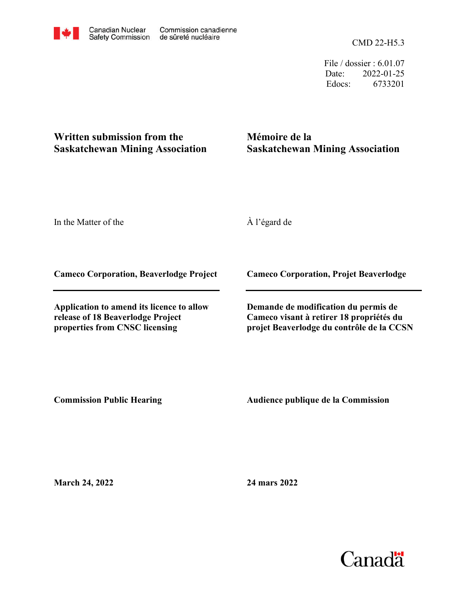CMD 22-H5.3

File / dossier : 6.01.07 Date: 2022-01-25 Edocs: 6733201

## **Written submission from the Saskatchewan Mining Association**

## **Mémoire de la Saskatchewan Mining Association**

In the Matter of the

À l'égard de

**Cameco Corporation, Beaverlodge Project**

**Application to amend its licence to allow release of 18 Beaverlodge Project properties from CNSC licensing**

**Cameco Corporation, Projet Beaverlodge**

**Demande de modification du permis de Cameco visant à retirer 18 propriétés du projet Beaverlodge du contrôle de la CCSN**

**Commission Public Hearing**

**Audience publique de la Commission** 

**March 24, 2022**

**24 mars 2022**

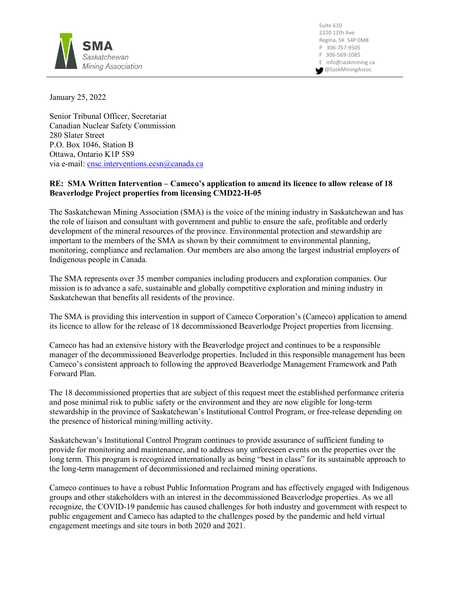

Suite 610 2220 12th Ave Regina, SK S4P 0M8 P 306-757-9505 F 306-569-1085 E info@saskmining.ca @SaskMiningAssoc

January 25, 2022

Senior Tribunal Officer, Secretariat Canadian Nuclear Safety Commission 280 Slater Street P.O. Box 1046, Station B Ottawa, Ontario K1P 5S9 via e-mail: [cnsc.interventions.ccsn@canada.ca](mailto:cnsc.interventions.ccsn@canada.ca)

## **RE: SMA Written Intervention – Cameco's application to amend its licence to allow release of 18 Beaverlodge Project properties from licensing CMD22-H-05**

The Saskatchewan Mining Association (SMA) is the voice of the mining industry in Saskatchewan and has the role of liaison and consultant with government and public to ensure the safe, profitable and orderly development of the mineral resources of the province. Environmental protection and stewardship are important to the members of the SMA as shown by their commitment to environmental planning, monitoring, compliance and reclamation. Our members are also among the largest industrial employers of Indigenous people in Canada.

The SMA represents over 35 member companies including producers and exploration companies. Our mission is to advance a safe, sustainable and globally competitive exploration and mining industry in Saskatchewan that benefits all residents of the province.

The SMA is providing this intervention in support of Cameco Corporation's (Cameco) application to amend its licence to allow for the release of 18 decommissioned Beaverlodge Project properties from licensing.

Cameco has had an extensive history with the Beaverlodge project and continues to be a responsible manager of the decommissioned Beaverlodge properties. Included in this responsible management has been Cameco's consistent approach to following the approved Beaverlodge Management Framework and Path Forward Plan.

The 18 decommissioned properties that are subject of this request meet the established performance criteria and pose minimal risk to public safety or the environment and they are now eligible for long-term stewardship in the province of Saskatchewan's Institutional Control Program, or free-release depending on the presence of historical mining/milling activity.

Saskatchewan's Institutional Control Program continues to provide assurance of sufficient funding to provide for monitoring and maintenance, and to address any unforeseen events on the properties over the long term. This program is recognized internationally as being "best in class" for its sustainable approach to the long-term management of decommissioned and reclaimed mining operations.

Cameco continues to have a robust Public Information Program and has effectively engaged with Indigenous groups and other stakeholders with an interest in the decommissioned Beaverlodge properties. As we all recognize, the COVID-19 pandemic has caused challenges for both industry and government with respect to public engagement and Cameco has adapted to the challenges posed by the pandemic and held virtual engagement meetings and site tours in both 2020 and 2021.